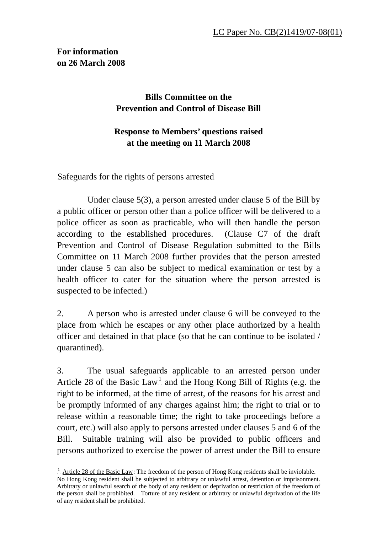# **For information on 26 March 2008**

l

### **Bills Committee on the Prevention and Control of Disease Bill**

# **Response to Members' questions raised at the meeting on 11 March 2008**

### Safeguards for the rights of persons arrested

 Under clause 5(3), a person arrested under clause 5 of the Bill by a public officer or person other than a police officer will be delivered to a police officer as soon as practicable, who will then handle the person according to the established procedures. (Clause C7 of the draft Prevention and Control of Disease Regulation submitted to the Bills Committee on 11 March 2008 further provides that the person arrested under clause 5 can also be subject to medical examination or test by a health officer to cater for the situation where the person arrested is suspected to be infected.)

2. A person who is arrested under clause 6 will be conveyed to the place from which he escapes or any other place authorized by a health officer and detained in that place (so that he can continue to be isolated / quarantined).

3. The usual safeguards applicable to an arrested person under Article 28 of the Basic Law<sup>[1](#page-0-0)</sup> and the Hong Kong Bill of Rights (e.g. the right to be informed, at the time of arrest, of the reasons for his arrest and be promptly informed of any charges against him; the right to trial or to release within a reasonable time; the right to take proceedings before a court, etc.) will also apply to persons arrested under clauses 5 and 6 of the Bill. Suitable training will also be provided to public officers and persons authorized to exercise the power of arrest under the Bill to ensure

<span id="page-0-0"></span><sup>&</sup>lt;sup>1</sup>. Article 28 of the Basic Law: The freedom of the person of Hong Kong residents shall be inviolable. No Hong Kong resident shall be subjected to arbitrary or unlawful arrest, detention or imprisonment. Arbitrary or unlawful search of the body of any resident or deprivation or restriction of the freedom of the person shall be prohibited. Torture of any resident or arbitrary or unlawful deprivation of the life of any resident shall be prohibited.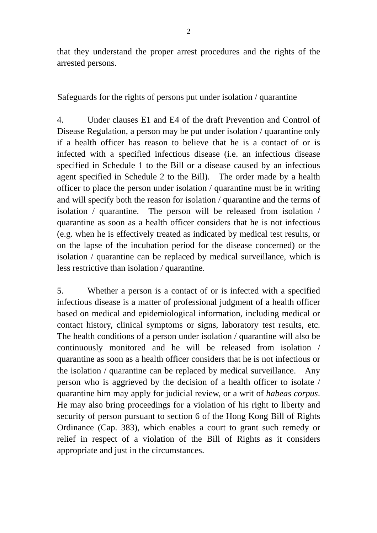that they understand the proper arrest procedures and the rights of the arrested persons.

#### Safeguards for the rights of persons put under isolation / quarantine

4. Under clauses E1 and E4 of the draft Prevention and Control of Disease Regulation, a person may be put under isolation / quarantine only if a health officer has reason to believe that he is a contact of or is infected with a specified infectious disease (i.e. an infectious disease specified in Schedule 1 to the Bill or a disease caused by an infectious agent specified in Schedule 2 to the Bill). The order made by a health officer to place the person under isolation / quarantine must be in writing and will specify both the reason for isolation / quarantine and the terms of isolation / quarantine. The person will be released from isolation / quarantine as soon as a health officer considers that he is not infectious (e.g. when he is effectively treated as indicated by medical test results, or on the lapse of the incubation period for the disease concerned) or the isolation / quarantine can be replaced by medical surveillance, which is less restrictive than isolation / quarantine.

5. Whether a person is a contact of or is infected with a specified infectious disease is a matter of professional judgment of a health officer based on medical and epidemiological information, including medical or contact history, clinical symptoms or signs, laboratory test results, etc. The health conditions of a person under isolation / quarantine will also be continuously monitored and he will be released from isolation / quarantine as soon as a health officer considers that he is not infectious or the isolation / quarantine can be replaced by medical surveillance. Any person who is aggrieved by the decision of a health officer to isolate / quarantine him may apply for judicial review, or a writ of *habeas corpus*. He may also bring proceedings for a violation of his right to liberty and security of person pursuant to section 6 of the Hong Kong Bill of Rights Ordinance (Cap. 383), which enables a court to grant such remedy or relief in respect of a violation of the Bill of Rights as it considers appropriate and just in the circumstances.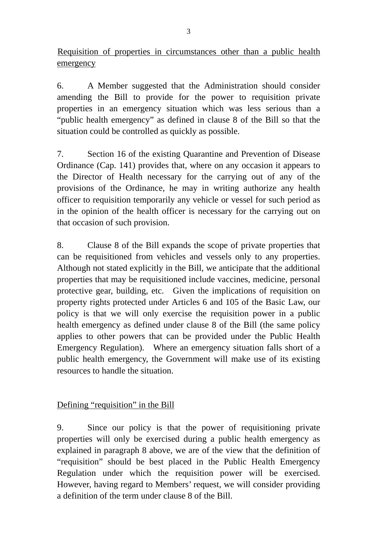Requisition of properties in circumstances other than a public health emergency

6. A Member suggested that the Administration should consider amending the Bill to provide for the power to requisition private properties in an emergency situation which was less serious than a "public health emergency" as defined in clause 8 of the Bill so that the situation could be controlled as quickly as possible.

7. Section 16 of the existing Quarantine and Prevention of Disease Ordinance (Cap. 141) provides that, where on any occasion it appears to the Director of Health necessary for the carrying out of any of the provisions of the Ordinance, he may in writing authorize any health officer to requisition temporarily any vehicle or vessel for such period as in the opinion of the health officer is necessary for the carrying out on that occasion of such provision.

8. Clause 8 of the Bill expands the scope of private properties that can be requisitioned from vehicles and vessels only to any properties. Although not stated explicitly in the Bill, we anticipate that the additional properties that may be requisitioned include vaccines, medicine, personal protective gear, building, etc. Given the implications of requisition on property rights protected under Articles 6 and 105 of the Basic Law, our policy is that we will only exercise the requisition power in a public health emergency as defined under clause 8 of the Bill (the same policy applies to other powers that can be provided under the Public Health Emergency Regulation). Where an emergency situation falls short of a public health emergency, the Government will make use of its existing resources to handle the situation.

### Defining "requisition" in the Bill

9. Since our policy is that the power of requisitioning private properties will only be exercised during a public health emergency as explained in paragraph 8 above, we are of the view that the definition of "requisition" should be best placed in the Public Health Emergency Regulation under which the requisition power will be exercised. However, having regard to Members' request, we will consider providing a definition of the term under clause 8 of the Bill.